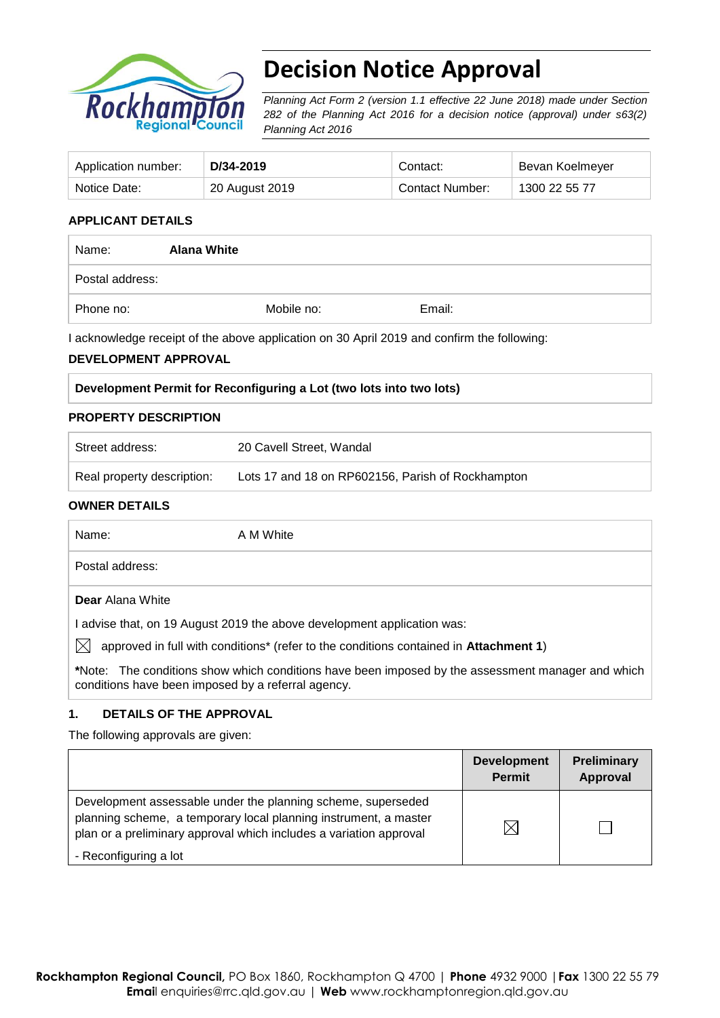

# **Decision Notice Approval**

*Planning Act Form 2 (version 1.1 effective 22 June 2018) made under Section 282 of the Planning Act 2016 for a decision notice (approval) under s63(2) Planning Act 2016*

| Application number: | D/34-2019      | Contact:               | Bevan Koelmeyer |
|---------------------|----------------|------------------------|-----------------|
| Notice Date:        | 20 August 2019 | <b>Contact Number:</b> | 1300 22 55 77   |

#### **APPLICANT DETAILS**

| Name:           | <b>Alana White</b> |            |        |  |
|-----------------|--------------------|------------|--------|--|
| Postal address: |                    |            |        |  |
| Phone no:       |                    | Mobile no: | Email: |  |

I acknowledge receipt of the above application on 30 April 2019 and confirm the following:

#### **DEVELOPMENT APPROVAL**

#### **PROPERTY DESCRIPTION**

| Street address:            | 20 Cavell Street, Wandal                          |
|----------------------------|---------------------------------------------------|
| Real property description: | Lots 17 and 18 on RP602156, Parish of Rockhampton |

#### **OWNER DETAILS**

| Name:                                              | A M White                                                                                                 |
|----------------------------------------------------|-----------------------------------------------------------------------------------------------------------|
| Postal address:                                    |                                                                                                           |
| <b>Dear</b> Alana White                            |                                                                                                           |
|                                                    | I advise that, on 19 August 2019 the above development application was:                                   |
| IХI                                                | approved in full with conditions <sup>*</sup> (refer to the conditions contained in <b>Attachment 1</b> ) |
| conditions have been imposed by a referral agency. | *Note: The conditions show which conditions have been imposed by the assessment manager and which         |

#### **1. DETAILS OF THE APPROVAL**

The following approvals are given:

|                                                                                                                                                                                                        | <b>Development</b><br><b>Permit</b> | Preliminary<br>Approval |
|--------------------------------------------------------------------------------------------------------------------------------------------------------------------------------------------------------|-------------------------------------|-------------------------|
| Development assessable under the planning scheme, superseded<br>planning scheme, a temporary local planning instrument, a master<br>plan or a preliminary approval which includes a variation approval |                                     |                         |
| - Reconfiguring a lot                                                                                                                                                                                  |                                     |                         |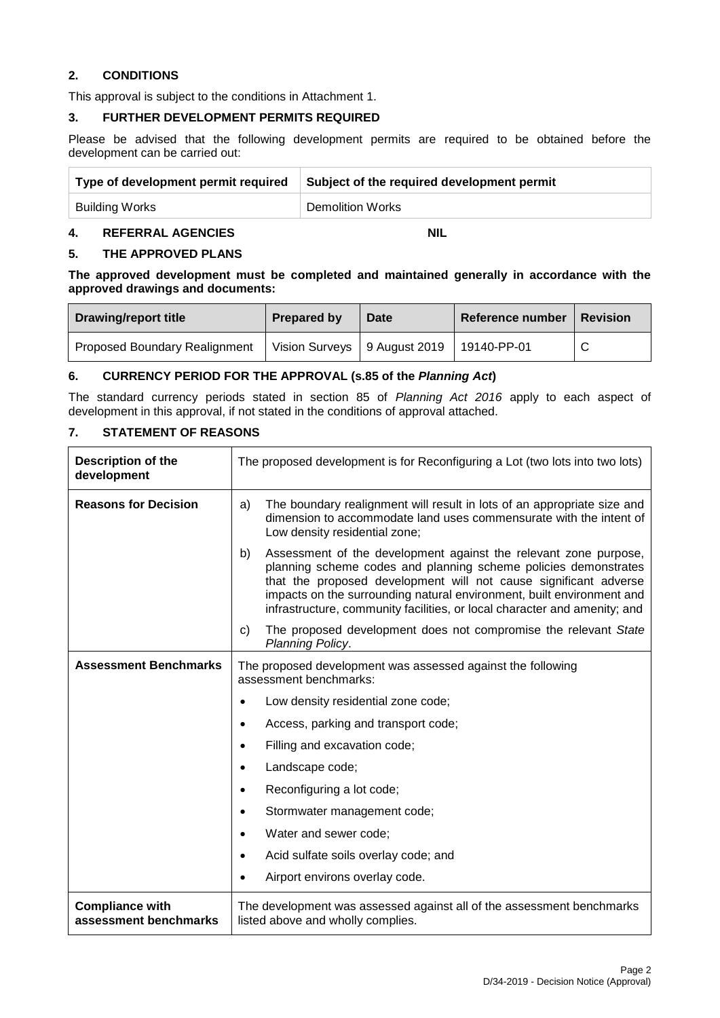#### **2. CONDITIONS**

This approval is subject to the conditions in Attachment 1.

#### **3. FURTHER DEVELOPMENT PERMITS REQUIRED**

Please be advised that the following development permits are required to be obtained before the development can be carried out:

| Type of development permit required | Subject of the required development permit |
|-------------------------------------|--------------------------------------------|
| Building Works                      | <b>Demolition Works</b>                    |

#### **4. REFERRAL AGENCIES NIL**

#### **5. THE APPROVED PLANS**

**The approved development must be completed and maintained generally in accordance with the approved drawings and documents:**

| <b>Drawing/report title</b>          | <b>Prepared by</b> | Date                                         | Reference number | <b>Revision</b> |
|--------------------------------------|--------------------|----------------------------------------------|------------------|-----------------|
| <b>Proposed Boundary Realignment</b> |                    | Vision Surveys   9 August 2019   19140-PP-01 |                  | C               |

#### **6. CURRENCY PERIOD FOR THE APPROVAL (s.85 of the** *Planning Act***)**

The standard currency periods stated in section 85 of *Planning Act 2016* apply to each aspect of development in this approval, if not stated in the conditions of approval attached.

#### **7. STATEMENT OF REASONS**

| Description of the<br>development               | The proposed development is for Reconfiguring a Lot (two lots into two lots)                                                                                                                                                                                                                                                                                        |  |  |
|-------------------------------------------------|---------------------------------------------------------------------------------------------------------------------------------------------------------------------------------------------------------------------------------------------------------------------------------------------------------------------------------------------------------------------|--|--|
| <b>Reasons for Decision</b>                     | The boundary realignment will result in lots of an appropriate size and<br>a)<br>dimension to accommodate land uses commensurate with the intent of<br>Low density residential zone;                                                                                                                                                                                |  |  |
|                                                 | Assessment of the development against the relevant zone purpose,<br>b)<br>planning scheme codes and planning scheme policies demonstrates<br>that the proposed development will not cause significant adverse<br>impacts on the surrounding natural environment, built environment and<br>infrastructure, community facilities, or local character and amenity; and |  |  |
|                                                 | The proposed development does not compromise the relevant State<br>C)<br>Planning Policy.                                                                                                                                                                                                                                                                           |  |  |
| <b>Assessment Benchmarks</b>                    | The proposed development was assessed against the following<br>assessment benchmarks:                                                                                                                                                                                                                                                                               |  |  |
|                                                 | Low density residential zone code;<br>$\bullet$                                                                                                                                                                                                                                                                                                                     |  |  |
|                                                 | Access, parking and transport code;<br>$\bullet$                                                                                                                                                                                                                                                                                                                    |  |  |
|                                                 | Filling and excavation code;<br>$\bullet$                                                                                                                                                                                                                                                                                                                           |  |  |
|                                                 | Landscape code;<br>$\bullet$                                                                                                                                                                                                                                                                                                                                        |  |  |
|                                                 | Reconfiguring a lot code;<br>$\bullet$                                                                                                                                                                                                                                                                                                                              |  |  |
|                                                 | Stormwater management code;<br>$\bullet$                                                                                                                                                                                                                                                                                                                            |  |  |
|                                                 | Water and sewer code;<br>$\bullet$                                                                                                                                                                                                                                                                                                                                  |  |  |
|                                                 | Acid sulfate soils overlay code; and<br>$\bullet$                                                                                                                                                                                                                                                                                                                   |  |  |
|                                                 | Airport environs overlay code.<br>$\bullet$                                                                                                                                                                                                                                                                                                                         |  |  |
| <b>Compliance with</b><br>assessment benchmarks | The development was assessed against all of the assessment benchmarks<br>listed above and wholly complies.                                                                                                                                                                                                                                                          |  |  |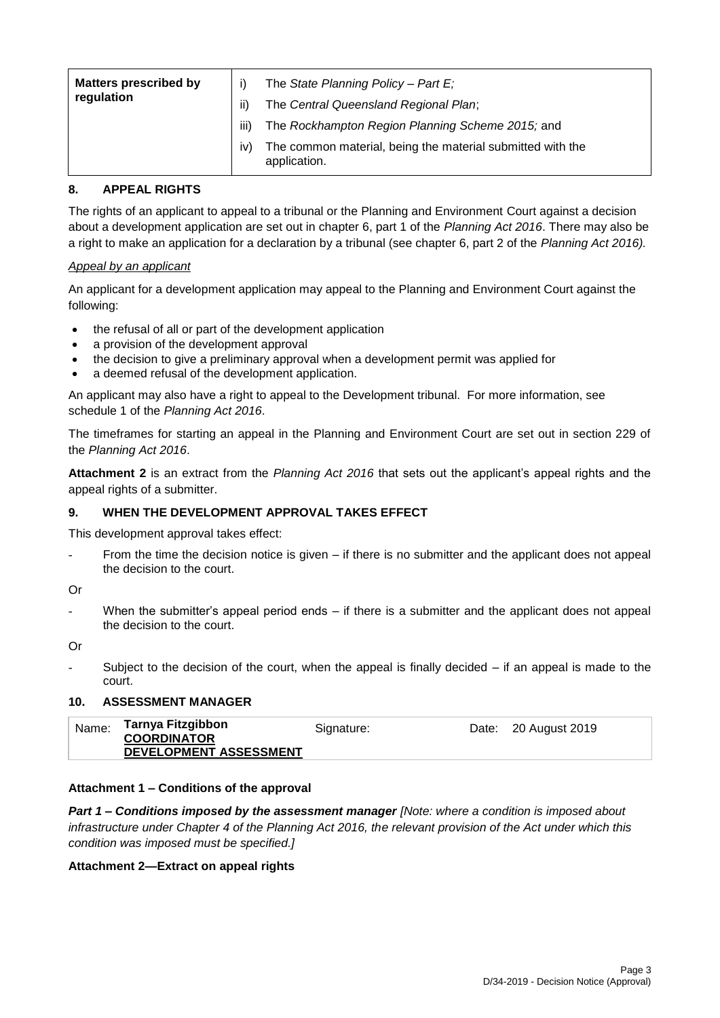| <b>Matters prescribed by</b><br>regulation | ii)  | The State Planning Policy - Part $E_i$<br>The Central Queensland Regional Plan; |
|--------------------------------------------|------|---------------------------------------------------------------------------------|
|                                            | iii) | The Rockhampton Region Planning Scheme 2015; and                                |
|                                            | IV.  | The common material, being the material submitted with the<br>application.      |

#### **8. APPEAL RIGHTS**

The rights of an applicant to appeal to a tribunal or the Planning and Environment Court against a decision about a development application are set out in chapter 6, part 1 of the *Planning Act 2016*. There may also be a right to make an application for a declaration by a tribunal (see chapter 6, part 2 of the *Planning Act 2016).*

#### *Appeal by an applicant*

An applicant for a development application may appeal to the Planning and Environment Court against the following:

- the refusal of all or part of the development application
- a provision of the development approval
- the decision to give a preliminary approval when a development permit was applied for
- a deemed refusal of the development application.

An applicant may also have a right to appeal to the Development tribunal. For more information, see schedule 1 of the *Planning Act 2016*.

The timeframes for starting an appeal in the Planning and Environment Court are set out in section 229 of the *Planning Act 2016*.

**Attachment 2** is an extract from the *Planning Act 2016* that sets out the applicant's appeal rights and the appeal rights of a submitter.

### **9. WHEN THE DEVELOPMENT APPROVAL TAKES EFFECT**

This development approval takes effect:

From the time the decision notice is given  $-$  if there is no submitter and the applicant does not appeal the decision to the court.

Or

When the submitter's appeal period ends  $-$  if there is a submitter and the applicant does not appeal the decision to the court.

Or

Subject to the decision of the court, when the appeal is finally decided  $-$  if an appeal is made to the court.

#### **10. ASSESSMENT MANAGER**

| DEVELOPMENT ASSESSMENT |
|------------------------|
|------------------------|

#### **Attachment 1 – Conditions of the approval**

*Part 1* **–** *Conditions imposed by the assessment manager [Note: where a condition is imposed about infrastructure under Chapter 4 of the Planning Act 2016, the relevant provision of the Act under which this condition was imposed must be specified.]*

#### **Attachment 2—Extract on appeal rights**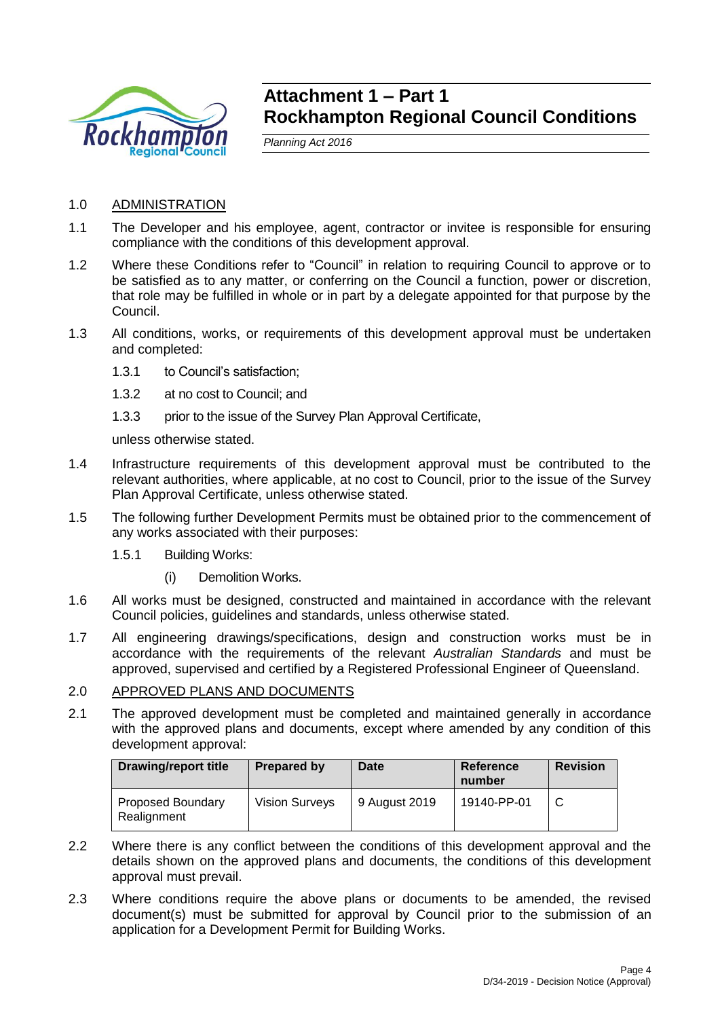

## **Attachment 1 – Part 1 Rockhampton Regional Council Conditions**

*Planning Act 2016*

- 1.0 ADMINISTRATION
- 1.1 The Developer and his employee, agent, contractor or invitee is responsible for ensuring compliance with the conditions of this development approval.
- 1.2 Where these Conditions refer to "Council" in relation to requiring Council to approve or to be satisfied as to any matter, or conferring on the Council a function, power or discretion, that role may be fulfilled in whole or in part by a delegate appointed for that purpose by the Council.
- 1.3 All conditions, works, or requirements of this development approval must be undertaken and completed:
	- 1.3.1 to Council's satisfaction;
	- 1.3.2 at no cost to Council; and
	- 1.3.3 prior to the issue of the Survey Plan Approval Certificate,

unless otherwise stated.

- 1.4 Infrastructure requirements of this development approval must be contributed to the relevant authorities, where applicable, at no cost to Council, prior to the issue of the Survey Plan Approval Certificate, unless otherwise stated.
- 1.5 The following further Development Permits must be obtained prior to the commencement of any works associated with their purposes:
	- 1.5.1 Building Works:
		- (i) Demolition Works.
- 1.6 All works must be designed, constructed and maintained in accordance with the relevant Council policies, guidelines and standards, unless otherwise stated.
- 1.7 All engineering drawings/specifications, design and construction works must be in accordance with the requirements of the relevant *Australian Standards* and must be approved, supervised and certified by a Registered Professional Engineer of Queensland.

#### 2.0 APPROVED PLANS AND DOCUMENTS

2.1 The approved development must be completed and maintained generally in accordance with the approved plans and documents, except where amended by any condition of this development approval:

| <b>Drawing/report title</b>             | Prepared by           | Date          | Reference<br>number | <b>Revision</b> |
|-----------------------------------------|-----------------------|---------------|---------------------|-----------------|
| <b>Proposed Boundary</b><br>Realignment | <b>Vision Surveys</b> | 9 August 2019 | 19140-PP-01         |                 |

- 2.2 Where there is any conflict between the conditions of this development approval and the details shown on the approved plans and documents, the conditions of this development approval must prevail.
- 2.3 Where conditions require the above plans or documents to be amended, the revised document(s) must be submitted for approval by Council prior to the submission of an application for a Development Permit for Building Works.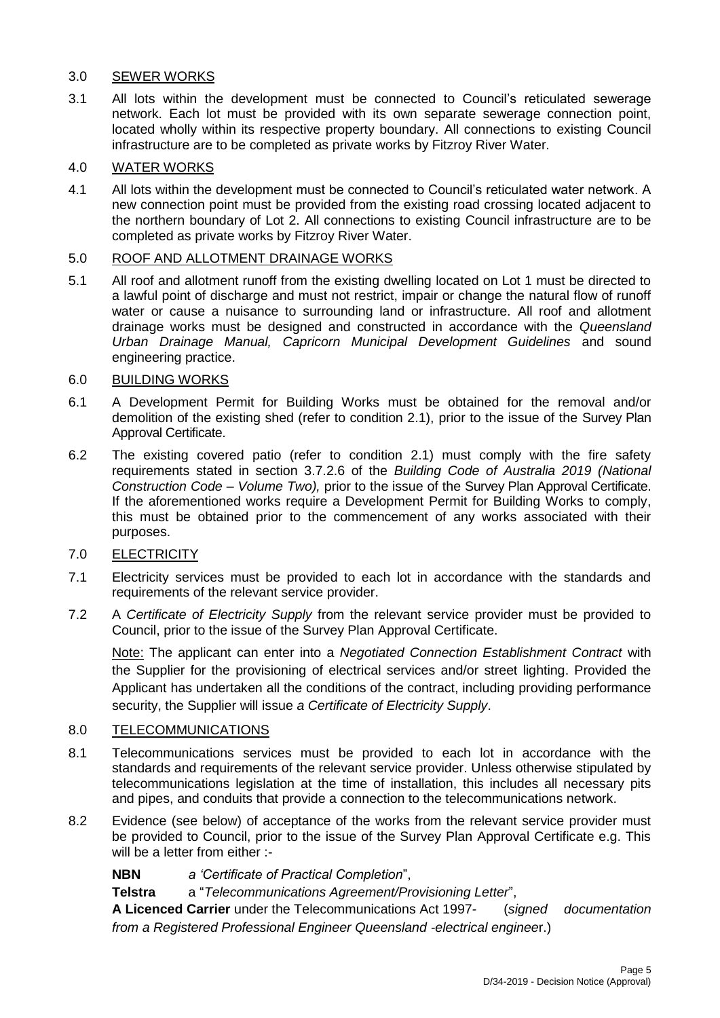### 3.0 SEWER WORKS

3.1 All lots within the development must be connected to Council's reticulated sewerage network. Each lot must be provided with its own separate sewerage connection point, located wholly within its respective property boundary. All connections to existing Council infrastructure are to be completed as private works by Fitzroy River Water.

### 4.0 WATER WORKS

4.1 All lots within the development must be connected to Council's reticulated water network. A new connection point must be provided from the existing road crossing located adjacent to the northern boundary of Lot 2. All connections to existing Council infrastructure are to be completed as private works by Fitzroy River Water.

### 5.0 ROOF AND ALLOTMENT DRAINAGE WORKS

5.1 All roof and allotment runoff from the existing dwelling located on Lot 1 must be directed to a lawful point of discharge and must not restrict, impair or change the natural flow of runoff water or cause a nuisance to surrounding land or infrastructure. All roof and allotment drainage works must be designed and constructed in accordance with the *Queensland Urban Drainage Manual, Capricorn Municipal Development Guidelines* and sound engineering practice.

### 6.0 BUILDING WORKS

- 6.1 A Development Permit for Building Works must be obtained for the removal and/or demolition of the existing shed (refer to condition 2.1), prior to the issue of the Survey Plan Approval Certificate.
- 6.2 The existing covered patio (refer to condition 2.1) must comply with the fire safety requirements stated in section 3.7.2.6 of the *Building Code of Australia 2019 (National Construction Code – Volume Two),* prior to the issue of the Survey Plan Approval Certificate. If the aforementioned works require a Development Permit for Building Works to comply, this must be obtained prior to the commencement of any works associated with their purposes.

### 7.0 ELECTRICITY

- 7.1 Electricity services must be provided to each lot in accordance with the standards and requirements of the relevant service provider.
- 7.2 A *Certificate of Electricity Supply* from the relevant service provider must be provided to Council, prior to the issue of the Survey Plan Approval Certificate.

Note: The applicant can enter into a *Negotiated Connection Establishment Contract* with the Supplier for the provisioning of electrical services and/or street lighting. Provided the Applicant has undertaken all the conditions of the contract, including providing performance security, the Supplier will issue *a Certificate of Electricity Supply*.

#### 8.0 TELECOMMUNICATIONS

- 8.1 Telecommunications services must be provided to each lot in accordance with the standards and requirements of the relevant service provider. Unless otherwise stipulated by telecommunications legislation at the time of installation, this includes all necessary pits and pipes, and conduits that provide a connection to the telecommunications network.
- 8.2 Evidence (see below) of acceptance of the works from the relevant service provider must be provided to Council, prior to the issue of the Survey Plan Approval Certificate e.g. This will be a letter from either :-

**NBN** *a 'Certificate of Practical Completion*",

**Telstra** a "*Telecommunications Agreement/Provisioning Letter*",

**A Licenced Carrier** under the Telecommunications Act 1997- (*signed documentation from a Registered Professional Engineer Queensland -electrical enginee*r.)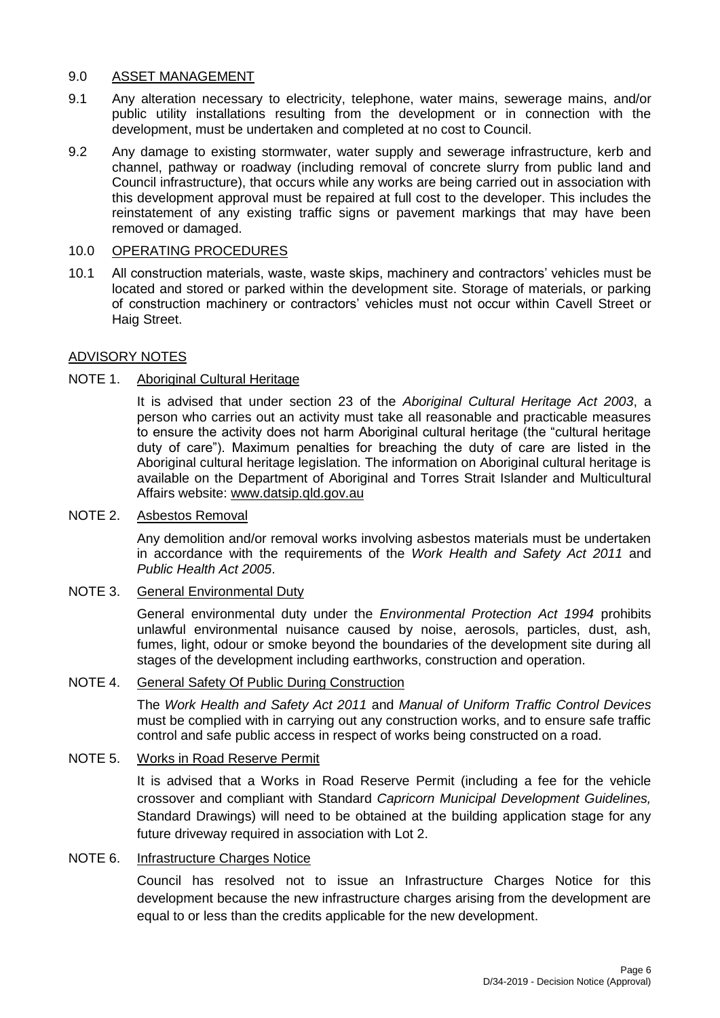#### 9.0 ASSET MANAGEMENT

- 9.1 Any alteration necessary to electricity, telephone, water mains, sewerage mains, and/or public utility installations resulting from the development or in connection with the development, must be undertaken and completed at no cost to Council.
- 9.2 Any damage to existing stormwater, water supply and sewerage infrastructure, kerb and channel, pathway or roadway (including removal of concrete slurry from public land and Council infrastructure), that occurs while any works are being carried out in association with this development approval must be repaired at full cost to the developer. This includes the reinstatement of any existing traffic signs or pavement markings that may have been removed or damaged.

#### 10.0 OPERATING PROCEDURES

10.1 All construction materials, waste, waste skips, machinery and contractors' vehicles must be located and stored or parked within the development site. Storage of materials, or parking of construction machinery or contractors' vehicles must not occur within Cavell Street or Haig Street.

#### ADVISORY NOTES

#### NOTE 1. Aboriginal Cultural Heritage

It is advised that under section 23 of the *Aboriginal Cultural Heritage Act 2003*, a person who carries out an activity must take all reasonable and practicable measures to ensure the activity does not harm Aboriginal cultural heritage (the "cultural heritage duty of care"). Maximum penalties for breaching the duty of care are listed in the Aboriginal cultural heritage legislation. The information on Aboriginal cultural heritage is available on the Department of Aboriginal and Torres Strait Islander and Multicultural Affairs website: [www.datsip.qld.gov.au](http://www.datsip.qld.gov.au/)

#### NOTE 2. Asbestos Removal

Any demolition and/or removal works involving asbestos materials must be undertaken in accordance with the requirements of the *Work Health and Safety Act 2011* and *Public Health Act 2005*.

#### NOTE 3. General Environmental Duty

General environmental duty under the *Environmental Protection Act 1994* prohibits unlawful environmental nuisance caused by noise, aerosols, particles, dust, ash, fumes, light, odour or smoke beyond the boundaries of the development site during all stages of the development including earthworks, construction and operation.

#### NOTE 4. General Safety Of Public During Construction

The *Work Health and Safety Act 2011* and *Manual of Uniform Traffic Control Devices* must be complied with in carrying out any construction works, and to ensure safe traffic control and safe public access in respect of works being constructed on a road.

### NOTE 5. Works in Road Reserve Permit

It is advised that a Works in Road Reserve Permit (including a fee for the vehicle crossover and compliant with Standard *Capricorn Municipal Development Guidelines,* Standard Drawings) will need to be obtained at the building application stage for any future driveway required in association with Lot 2.

#### NOTE 6. Infrastructure Charges Notice

Council has resolved not to issue an Infrastructure Charges Notice for this development because the new infrastructure charges arising from the development are equal to or less than the credits applicable for the new development.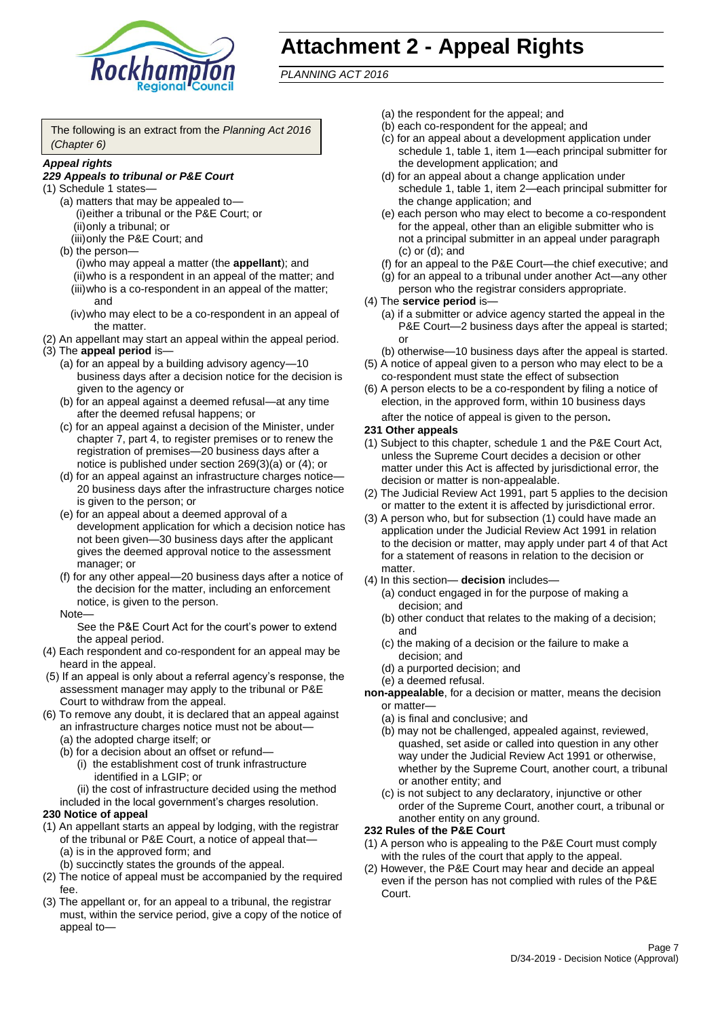

## **Attachment 2 - Appeal Rights**

*PLANNING ACT 2016*

The following is an extract from the *Planning Act 2016 (Chapter 6)*

#### *Appeal rights*

#### *229 Appeals to tribunal or P&E Court*

- (1) Schedule 1 states—
	- (a) matters that may be appealed to— (i)either a tribunal or the P&E Court; or (ii)only a tribunal; or
	- (iii)only the P&E Court; and (b) the person—
		- (i)who may appeal a matter (the **appellant**); and (ii)who is a respondent in an appeal of the matter; and (iii)who is a co-respondent in an appeal of the matter; and
		- (iv)who may elect to be a co-respondent in an appeal of the matter.
- (2) An appellant may start an appeal within the appeal period.
- (3) The **appeal period** is—
	- (a) for an appeal by a building advisory agency—10 business days after a decision notice for the decision is given to the agency or
	- (b) for an appeal against a deemed refusal—at any time after the deemed refusal happens; or
	- (c) for an appeal against a decision of the Minister, under chapter 7, part 4, to register premises or to renew the registration of premises—20 business days after a notice is published under section 269(3)(a) or (4); or
	- (d) for an appeal against an infrastructure charges notice— 20 business days after the infrastructure charges notice is given to the person; or
	- (e) for an appeal about a deemed approval of a development application for which a decision notice has not been given—30 business days after the applicant gives the deemed approval notice to the assessment manager; or
	- (f) for any other appeal—20 business days after a notice of the decision for the matter, including an enforcement notice, is given to the person.

#### Note—

See the P&E Court Act for the court's power to extend the appeal period.

- (4) Each respondent and co-respondent for an appeal may be heard in the appeal.
- (5) If an appeal is only about a referral agency's response, the assessment manager may apply to the tribunal or P&E Court to withdraw from the appeal.
- (6) To remove any doubt, it is declared that an appeal against an infrastructure charges notice must not be about—
	- (a) the adopted charge itself; or
	- (b) for a decision about an offset or refund—
		- (i) the establishment cost of trunk infrastructure identified in a LGIP; or
		- (ii) the cost of infrastructure decided using the method

#### included in the local government's charges resolution. **230 Notice of appeal**

- (1) An appellant starts an appeal by lodging, with the registrar of the tribunal or P&E Court, a notice of appeal that—
	- (a) is in the approved form; and
	- (b) succinctly states the grounds of the appeal.
- (2) The notice of appeal must be accompanied by the required fee.
- (3) The appellant or, for an appeal to a tribunal, the registrar must, within the service period, give a copy of the notice of appeal to—
- (a) the respondent for the appeal; and
- (b) each co-respondent for the appeal; and
- (c) for an appeal about a development application under schedule 1, table 1, item 1—each principal submitter for the development application; and
- (d) for an appeal about a change application under schedule 1, table 1, item 2—each principal submitter for the change application; and
- (e) each person who may elect to become a co-respondent for the appeal, other than an eligible submitter who is not a principal submitter in an appeal under paragraph (c) or (d); and
- (f) for an appeal to the P&E Court—the chief executive; and
- (g) for an appeal to a tribunal under another Act—any other person who the registrar considers appropriate.
- (4) The **service period** is—
	- (a) if a submitter or advice agency started the appeal in the P&E Court—2 business days after the appeal is started; or
	- (b) otherwise—10 business days after the appeal is started.
- (5) A notice of appeal given to a person who may elect to be a co-respondent must state the effect of subsection
- (6) A person elects to be a co-respondent by filing a notice of election, in the approved form, within 10 business days after the notice of appeal is given to the person*.*
- **231 Other appeals**
- (1) Subject to this chapter, schedule 1 and the P&E Court Act, unless the Supreme Court decides a decision or other matter under this Act is affected by jurisdictional error, the decision or matter is non-appealable.
- (2) The Judicial Review Act 1991, part 5 applies to the decision or matter to the extent it is affected by jurisdictional error.
- (3) A person who, but for subsection (1) could have made an application under the Judicial Review Act 1991 in relation to the decision or matter, may apply under part 4 of that Act for a statement of reasons in relation to the decision or matter.
- (4) In this section— **decision** includes—
	- (a) conduct engaged in for the purpose of making a decision; and
	- (b) other conduct that relates to the making of a decision; and
	- (c) the making of a decision or the failure to make a decision; and
	- (d) a purported decision; and
	- (e) a deemed refusal.

**non-appealable**, for a decision or matter, means the decision or matter—

- (a) is final and conclusive; and
- (b) may not be challenged, appealed against, reviewed, quashed, set aside or called into question in any other way under the Judicial Review Act 1991 or otherwise, whether by the Supreme Court, another court, a tribunal or another entity; and
- (c) is not subject to any declaratory, injunctive or other order of the Supreme Court, another court, a tribunal or another entity on any ground.

#### **232 Rules of the P&E Court**

- (1) A person who is appealing to the P&E Court must comply with the rules of the court that apply to the appeal.
- (2) However, the P&E Court may hear and decide an appeal even if the person has not complied with rules of the P&E Court.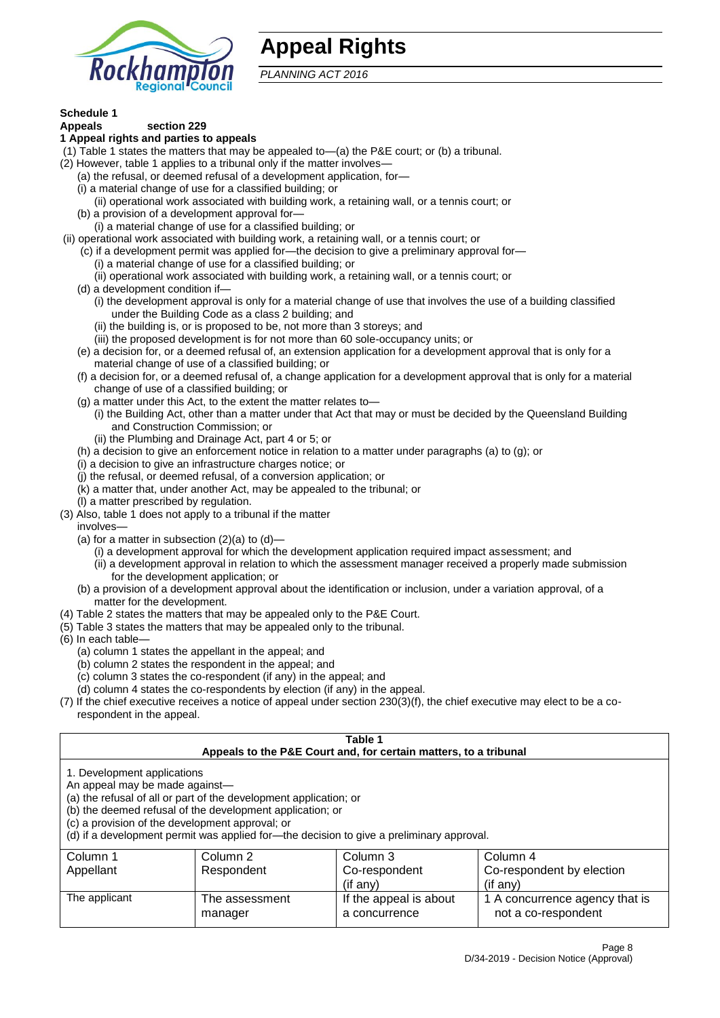

## **Appeal Rights**

*PLANNING ACT 2016*

## **Schedule 1**

#### **Appeals section 229 1 Appeal rights and parties to appeals**

- (1) Table 1 states the matters that may be appealed to—(a) the P&E court; or (b) a tribunal.
- (2) However, table 1 applies to a tribunal only if the matter involves—
	- (a) the refusal, or deemed refusal of a development application, for—
	- (i) a material change of use for a classified building; or
	- (ii) operational work associated with building work, a retaining wall, or a tennis court; or
	- (b) a provision of a development approval for—
	- (i) a material change of use for a classified building; or
- (ii) operational work associated with building work, a retaining wall, or a tennis court; or
	- (c) if a development permit was applied for—the decision to give a preliminary approval for—
		- (i) a material change of use for a classified building; or
	- (ii) operational work associated with building work, a retaining wall, or a tennis court; or
	- (d) a development condition if—
		- (i) the development approval is only for a material change of use that involves the use of a building classified under the Building Code as a class 2 building; and
		- (ii) the building is, or is proposed to be, not more than 3 storeys; and
		- (iii) the proposed development is for not more than 60 sole-occupancy units; or
	- (e) a decision for, or a deemed refusal of, an extension application for a development approval that is only for a material change of use of a classified building; or
	- (f) a decision for, or a deemed refusal of, a change application for a development approval that is only for a material change of use of a classified building; or
	- (g) a matter under this Act, to the extent the matter relates to—
		- (i) the Building Act, other than a matter under that Act that may or must be decided by the Queensland Building and Construction Commission; or
		- (ii) the Plumbing and Drainage Act, part 4 or 5; or
	- (h) a decision to give an enforcement notice in relation to a matter under paragraphs (a) to (g); or
	- (i) a decision to give an infrastructure charges notice; or
	- (j) the refusal, or deemed refusal, of a conversion application; or
	- (k) a matter that, under another Act, may be appealed to the tribunal; or
	- (l) a matter prescribed by regulation.
- (3) Also, table 1 does not apply to a tribunal if the matter

involves—

- (a) for a matter in subsection  $(2)(a)$  to  $(d)$ 
	- (i) a development approval for which the development application required impact assessment; and
	- (ii) a development approval in relation to which the assessment manager received a properly made submission for the development application; or
- (b) a provision of a development approval about the identification or inclusion, under a variation approval, of a matter for the development.
- (4) Table 2 states the matters that may be appealed only to the P&E Court.
- (5) Table 3 states the matters that may be appealed only to the tribunal.
- (6) In each table—
	- (a) column 1 states the appellant in the appeal; and
	- (b) column 2 states the respondent in the appeal; and
	- (c) column 3 states the co-respondent (if any) in the appeal; and
	- (d) column 4 states the co-respondents by election (if any) in the appeal.
- (7) If the chief executive receives a notice of appeal under section 230(3)(f), the chief executive may elect to be a corespondent in the appeal.

| Table 1<br>Appeals to the P&E Court and, for certain matters, to a tribunal                                                                                                                                                                                                                                                                    |                           |                                                     |                                                                      |  |
|------------------------------------------------------------------------------------------------------------------------------------------------------------------------------------------------------------------------------------------------------------------------------------------------------------------------------------------------|---------------------------|-----------------------------------------------------|----------------------------------------------------------------------|--|
| 1. Development applications<br>An appeal may be made against-<br>(a) the refusal of all or part of the development application; or<br>(b) the deemed refusal of the development application; or<br>(c) a provision of the development approval; or<br>(d) if a development permit was applied for-the decision to give a preliminary approval. |                           |                                                     |                                                                      |  |
| Column 1<br>Appellant                                                                                                                                                                                                                                                                                                                          | Column 2<br>Respondent    | Column 3<br>Co-respondent                           | Column 4<br>Co-respondent by election                                |  |
| The applicant                                                                                                                                                                                                                                                                                                                                  | The assessment<br>manager | (if any)<br>If the appeal is about<br>a concurrence | $(i$ f any)<br>1 A concurrence agency that is<br>not a co-respondent |  |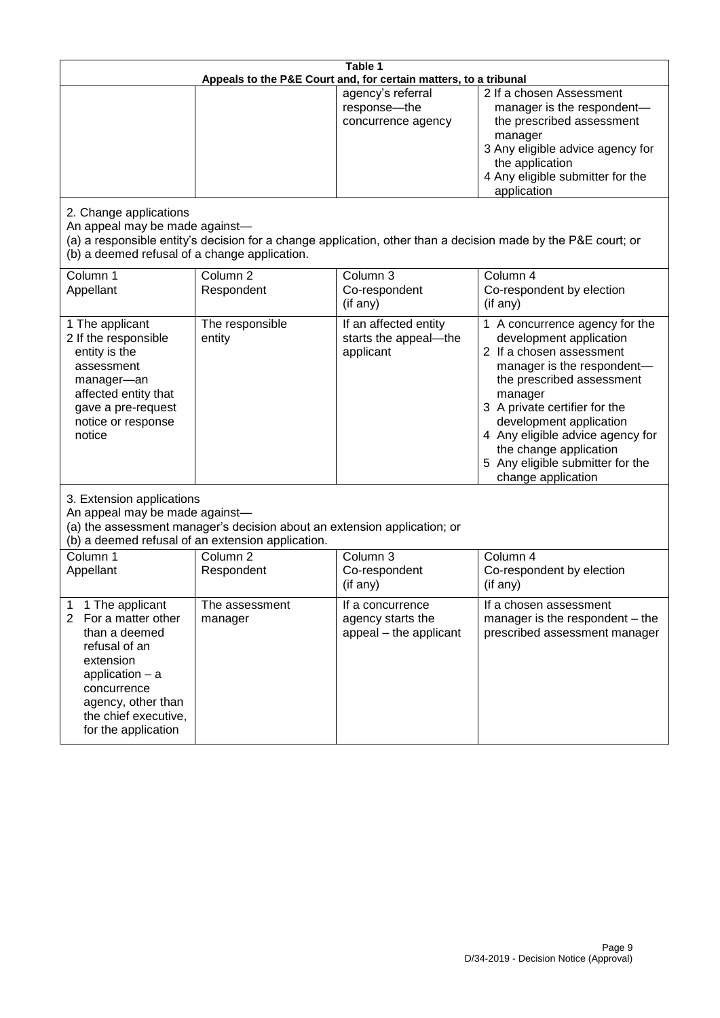| Table 1<br>Appeals to the P&E Court and, for certain matters, to a tribunal                                                                                                                                          |                                   |                                                                 |                                                                                                                                                                                                                                                                                                                                                 |  |
|----------------------------------------------------------------------------------------------------------------------------------------------------------------------------------------------------------------------|-----------------------------------|-----------------------------------------------------------------|-------------------------------------------------------------------------------------------------------------------------------------------------------------------------------------------------------------------------------------------------------------------------------------------------------------------------------------------------|--|
|                                                                                                                                                                                                                      |                                   | agency's referral<br>response-the<br>concurrence agency         | 2 If a chosen Assessment<br>manager is the respondent-<br>the prescribed assessment<br>manager<br>3 Any eligible advice agency for<br>the application<br>4 Any eligible submitter for the<br>application                                                                                                                                        |  |
| 2. Change applications<br>An appeal may be made against-<br>(b) a deemed refusal of a change application.                                                                                                            |                                   |                                                                 | (a) a responsible entity's decision for a change application, other than a decision made by the P&E court; or                                                                                                                                                                                                                                   |  |
| Column 1<br>Appellant                                                                                                                                                                                                | Column <sub>2</sub><br>Respondent | Column 3<br>Co-respondent<br>(if any)                           | Column 4<br>Co-respondent by election<br>(if any)                                                                                                                                                                                                                                                                                               |  |
| 1 The applicant<br>2 If the responsible<br>entity is the<br>assessment<br>manager-an<br>affected entity that<br>gave a pre-request<br>notice or response<br>notice                                                   | The responsible<br>entity         | If an affected entity<br>starts the appeal-the<br>applicant     | 1 A concurrence agency for the<br>development application<br>2 If a chosen assessment<br>manager is the respondent-<br>the prescribed assessment<br>manager<br>3 A private certifier for the<br>development application<br>4 Any eligible advice agency for<br>the change application<br>5 Any eligible submitter for the<br>change application |  |
| 3. Extension applications<br>An appeal may be made against-<br>(a) the assessment manager's decision about an extension application; or<br>(b) a deemed refusal of an extension application.                         |                                   |                                                                 |                                                                                                                                                                                                                                                                                                                                                 |  |
| Column 1<br>Appellant                                                                                                                                                                                                | Column <sub>2</sub><br>Respondent | Column 3<br>Co-respondent<br>(if any)                           | Column 4<br>Co-respondent by election<br>(if any)                                                                                                                                                                                                                                                                                               |  |
| 1 The applicant<br>1<br>$\overline{2}$<br>For a matter other<br>than a deemed<br>refusal of an<br>extension<br>application $-$ a<br>concurrence<br>agency, other than<br>the chief executive,<br>for the application | The assessment<br>manager         | If a concurrence<br>agency starts the<br>appeal - the applicant | If a chosen assessment<br>manager is the respondent – the<br>prescribed assessment manager                                                                                                                                                                                                                                                      |  |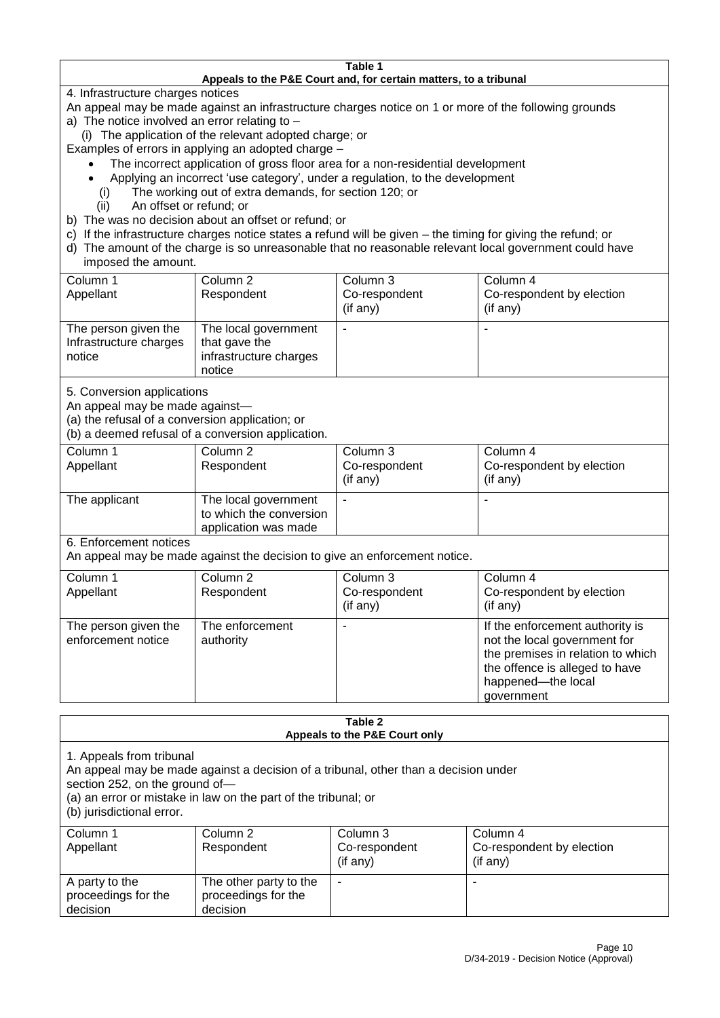#### **Table 1 Appeals to the P&E Court and, for certain matters, to a tribunal**

4. Infrastructure charges notices

- An appeal may be made against an infrastructure charges notice on 1 or more of the following grounds
- a) The notice involved an error relating to
	- (i) The application of the relevant adopted charge; or
- Examples of errors in applying an adopted charge
	- The incorrect application of gross floor area for a non-residential development
	- Applying an incorrect 'use category', under a regulation, to the development
	- (i) The working out of extra demands, for section 120; or
	- (ii) An offset or refund; or
- b) The was no decision about an offset or refund; or
- c) If the infrastructure charges notice states a refund will be given the timing for giving the refund; or
- d) The amount of the charge is so unreasonable that no reasonable relevant local government could have

### imposed the amount.

| Column 1<br>Appellant                                    | Column 2<br>Respondent                                                    | Column 3<br>Co-respondent<br>$($ if any $)$ | Column 4<br>Co-respondent by election<br>$($ if any $)$ |
|----------------------------------------------------------|---------------------------------------------------------------------------|---------------------------------------------|---------------------------------------------------------|
| The person given the<br>Infrastructure charges<br>notice | The local government<br>that gave the<br>infrastructure charges<br>notice |                                             |                                                         |

5. Conversion applications

An appeal may be made against—

(a) the refusal of a conversion application; or

(b) a deemed refusal of a conversion application.

| Column 1      | Column 2                | Column 3       | Column 4                  |
|---------------|-------------------------|----------------|---------------------------|
| Appellant     | Respondent              | Co-respondent  | Co-respondent by election |
|               |                         | $($ if any $)$ | $($ if any $)$            |
| The applicant | The local government    |                |                           |
|               | to which the conversion |                |                           |
|               | application was made    |                |                           |

6. Enforcement notices

An appeal may be made against the decision to give an enforcement notice.

| Column 1<br>Column 4<br>Column 2<br>Column 3<br>Co-respondent<br>Co-respondent by election<br>Appellant<br>Respondent<br>(if any)<br>(if any)<br>The enforcement<br>If the enforcement authority is<br>The person given the<br>not the local government for<br>enforcement notice<br>authority<br>the offence is alleged to have<br>happened-the local |  |                                   |
|--------------------------------------------------------------------------------------------------------------------------------------------------------------------------------------------------------------------------------------------------------------------------------------------------------------------------------------------------------|--|-----------------------------------|
|                                                                                                                                                                                                                                                                                                                                                        |  |                                   |
|                                                                                                                                                                                                                                                                                                                                                        |  |                                   |
|                                                                                                                                                                                                                                                                                                                                                        |  |                                   |
| government                                                                                                                                                                                                                                                                                                                                             |  | the premises in relation to which |

#### **Table 2 Appeals to the P&E Court only**

1. Appeals from tribunal

An appeal may be made against a decision of a tribunal, other than a decision under

section 252, on the ground of—

(a) an error or mistake in law on the part of the tribunal; or

(b) jurisdictional error.

| Column 1<br>Appellant                             | Column 2<br>Respondent                                    | Column 3<br>Co-respondent<br>$($ if any $)$ | Column 4<br>Co-respondent by election<br>(if any) |
|---------------------------------------------------|-----------------------------------------------------------|---------------------------------------------|---------------------------------------------------|
| A party to the<br>proceedings for the<br>decision | The other party to the<br>proceedings for the<br>decision | ۰                                           |                                                   |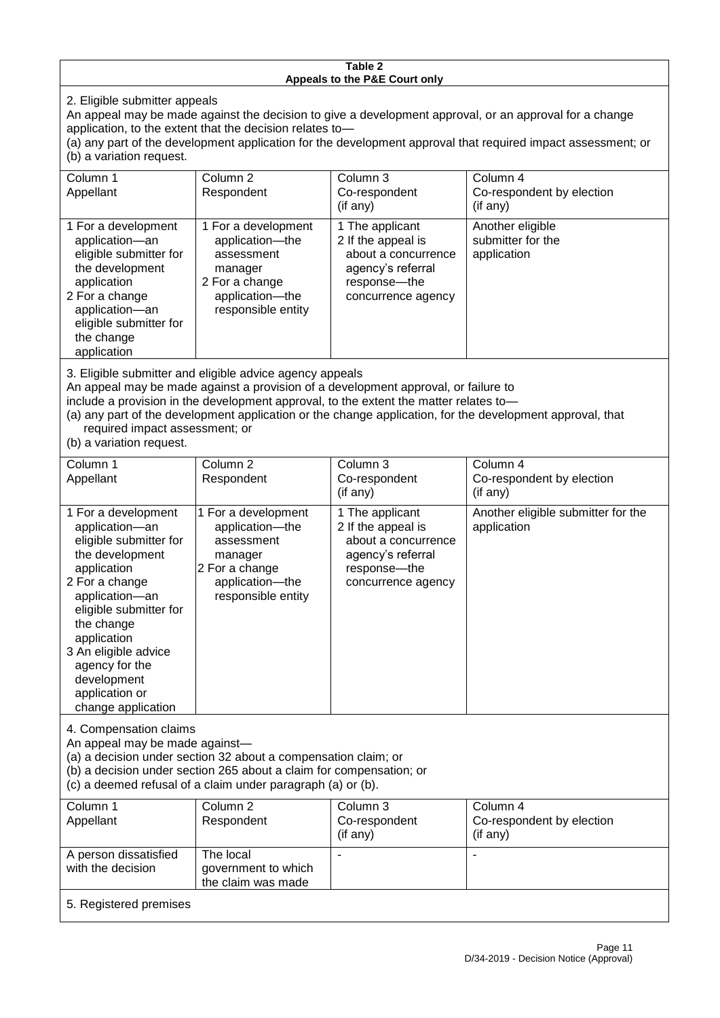#### **Table 2 Appeals to the P&E Court only**

2. Eligible submitter appeals

An appeal may be made against the decision to give a development approval, or an approval for a change application, to the extent that the decision relates to—

(a) any part of the development application for the development approval that required impact assessment; or (b) a variation request.

| Column 1                                                                                                                                                                                                                                                                                                                                                                                                           | Column <sub>2</sub>                                                                                                        | Column 3                                                                                                                  | Column 4                                             |
|--------------------------------------------------------------------------------------------------------------------------------------------------------------------------------------------------------------------------------------------------------------------------------------------------------------------------------------------------------------------------------------------------------------------|----------------------------------------------------------------------------------------------------------------------------|---------------------------------------------------------------------------------------------------------------------------|------------------------------------------------------|
| Appellant                                                                                                                                                                                                                                                                                                                                                                                                          | Respondent                                                                                                                 | Co-respondent                                                                                                             | Co-respondent by election                            |
|                                                                                                                                                                                                                                                                                                                                                                                                                    |                                                                                                                            | (if any)                                                                                                                  | $($ if any $)$                                       |
| 1 For a development<br>application-an<br>eligible submitter for<br>the development<br>application<br>2 For a change<br>application-an<br>eligible submitter for<br>the change<br>application                                                                                                                                                                                                                       | 1 For a development<br>application-the<br>assessment<br>manager<br>2 For a change<br>application-the<br>responsible entity | 1 The applicant<br>2 If the appeal is<br>about a concurrence<br>agency's referral<br>response---the<br>concurrence agency | Another eligible<br>submitter for the<br>application |
| 3. Eligible submitter and eligible advice agency appeals<br>An appeal may be made against a provision of a development approval, or failure to<br>include a provision in the development approval, to the extent the matter relates to-<br>(a) any part of the development application or the change application, for the development approval, that<br>required impact assessment; or<br>(b) a variation request. |                                                                                                                            |                                                                                                                           |                                                      |
| Column 1                                                                                                                                                                                                                                                                                                                                                                                                           | Column <sub>2</sub>                                                                                                        | Column 3                                                                                                                  | Column 4                                             |
| Appellant                                                                                                                                                                                                                                                                                                                                                                                                          | Respondent                                                                                                                 | Co-respondent<br>(if any)                                                                                                 | Co-respondent by election<br>(if any)                |
| 1 For a development<br>application-an<br>eligible submitter for<br>the development<br>application                                                                                                                                                                                                                                                                                                                  | 1 For a development<br>application-the<br>assessment<br>manager<br>2 For a change                                          | 1 The applicant<br>2 If the appeal is<br>about a concurrence<br>agency's referral<br>response---the                       | Another eligible submitter for the<br>application    |

concurrence agency

4. Compensation claims

2 For a change application—an eligible submitter for

the change application 3 An eligible advice agency for the development application or change application

An appeal may be made against—

(a) a decision under section 32 about a compensation claim; or

(b) a decision under section 265 about a claim for compensation; or

application—the responsible entity

(c) a deemed refusal of a claim under paragraph (a) or (b).

| Column 1               | Column 2            | Column 3      | Column 4                  |  |  |
|------------------------|---------------------|---------------|---------------------------|--|--|
| Appellant              | Respondent          | Co-respondent | Co-respondent by election |  |  |
|                        |                     | (if any)      | $($ if any $)$            |  |  |
| A person dissatisfied  | The local           |               |                           |  |  |
| with the decision      | government to which |               |                           |  |  |
| the claim was made     |                     |               |                           |  |  |
| 5. Registered premises |                     |               |                           |  |  |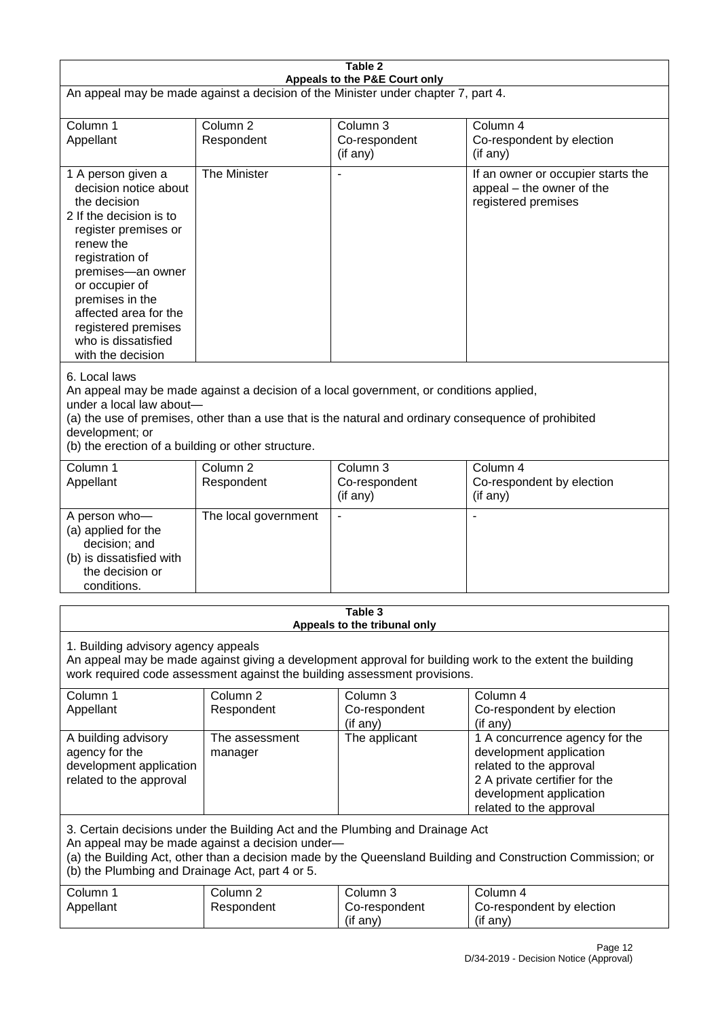| Table 2                                                                                                                                                                                                                                                                                                              |                                   |                                         |                                                                                                                                                                             |  |
|----------------------------------------------------------------------------------------------------------------------------------------------------------------------------------------------------------------------------------------------------------------------------------------------------------------------|-----------------------------------|-----------------------------------------|-----------------------------------------------------------------------------------------------------------------------------------------------------------------------------|--|
| Appeals to the P&E Court only<br>An appeal may be made against a decision of the Minister under chapter 7, part 4.                                                                                                                                                                                                   |                                   |                                         |                                                                                                                                                                             |  |
| Column 1<br>Appellant                                                                                                                                                                                                                                                                                                | Column <sub>2</sub><br>Respondent | Column 3<br>Co-respondent<br>(if any)   | Column 4<br>Co-respondent by election<br>(if any)                                                                                                                           |  |
| 1 A person given a<br>decision notice about<br>the decision<br>2 If the decision is to<br>register premises or<br>renew the<br>registration of<br>premises-an owner<br>or occupier of<br>premises in the<br>affected area for the<br>registered premises<br>who is dissatisfied<br>with the decision                 | The Minister                      |                                         | If an owner or occupier starts the<br>appeal – the owner of the<br>registered premises                                                                                      |  |
| 6. Local laws<br>An appeal may be made against a decision of a local government, or conditions applied,<br>under a local law about-<br>(a) the use of premises, other than a use that is the natural and ordinary consequence of prohibited<br>development; or<br>(b) the erection of a building or other structure. |                                   |                                         |                                                                                                                                                                             |  |
| Column 1<br>Appellant                                                                                                                                                                                                                                                                                                | Column <sub>2</sub><br>Respondent | Column 3<br>Co-respondent<br>(if any)   | Column $\overline{4}$<br>Co-respondent by election<br>(if any)                                                                                                              |  |
| A person who-<br>(a) applied for the<br>decision; and<br>(b) is dissatisfied with<br>the decision or<br>conditions.                                                                                                                                                                                                  | The local government              | $\blacksquare$                          |                                                                                                                                                                             |  |
|                                                                                                                                                                                                                                                                                                                      |                                   | Table 3<br>Appeals to the tribunal only |                                                                                                                                                                             |  |
| 1. Building advisory agency appeals<br>An appeal may be made against giving a development approval for building work to the extent the building<br>work required code assessment against the building assessment provisions.                                                                                         |                                   |                                         |                                                                                                                                                                             |  |
| Column 1<br>Appellant                                                                                                                                                                                                                                                                                                | Column <sub>2</sub><br>Respondent | Column 3<br>Co-respondent<br>(if any)   | Column 4<br>Co-respondent by election<br>(if any)                                                                                                                           |  |
| A building advisory<br>agency for the<br>development application<br>related to the approval                                                                                                                                                                                                                          | The assessment<br>manager         | The applicant                           | 1 A concurrence agency for the<br>development application<br>related to the approval<br>2 A private certifier for the<br>development application<br>related to the approval |  |
| 3. Certain decisions under the Building Act and the Plumbing and Drainage Act<br>An appeal may be made against a decision under-<br>(a) the Building Act, other than a decision made by the Queensland Building and Construction Commission; or<br>(b) the Plumbing and Drainage Act, part 4 or 5.                   |                                   |                                         |                                                                                                                                                                             |  |
| Column 1<br>Appellant                                                                                                                                                                                                                                                                                                | Column <sub>2</sub><br>Respondent | Column 3<br>Co-respondent<br>(if any)   | Column 4<br>Co-respondent by election<br>(if any)                                                                                                                           |  |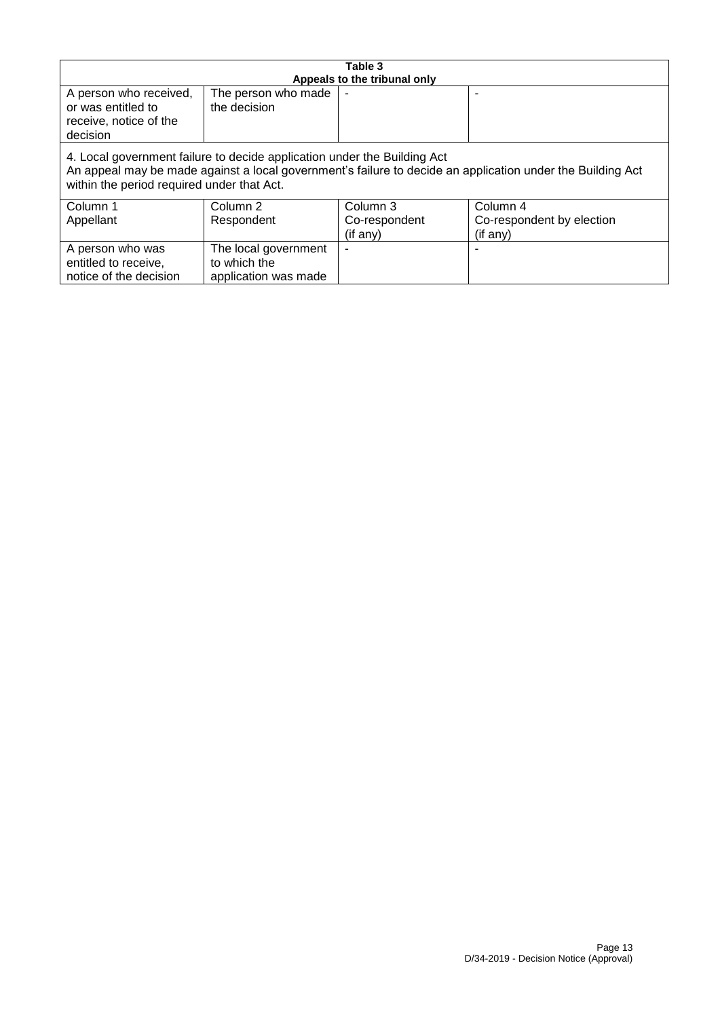| Table 3                                                                                                                                                                                                                              |                                                              |                                       |                                                   |  |
|--------------------------------------------------------------------------------------------------------------------------------------------------------------------------------------------------------------------------------------|--------------------------------------------------------------|---------------------------------------|---------------------------------------------------|--|
| Appeals to the tribunal only<br>A person who received,<br>The person who made<br>or was entitled to<br>the decision<br>receive, notice of the<br>decision                                                                            |                                                              |                                       |                                                   |  |
| 4. Local government failure to decide application under the Building Act<br>An appeal may be made against a local government's failure to decide an application under the Building Act<br>within the period required under that Act. |                                                              |                                       |                                                   |  |
| Column 1<br>Appellant                                                                                                                                                                                                                | Column 2<br>Respondent                                       | Column 3<br>Co-respondent<br>(if any) | Column 4<br>Co-respondent by election<br>(if any) |  |
| A person who was<br>entitled to receive,<br>notice of the decision                                                                                                                                                                   | The local government<br>to which the<br>application was made |                                       |                                                   |  |